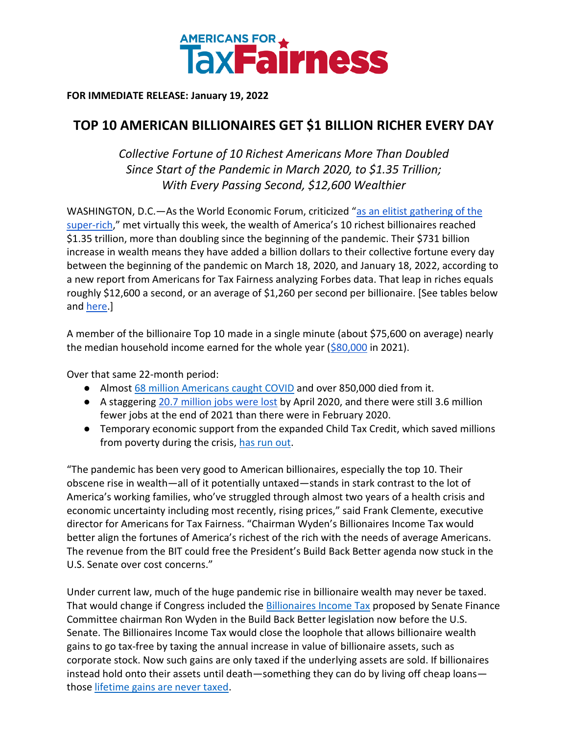

**FOR IMMEDIATE RELEASE: January 19, 2022**

## **TOP 10 AMERICAN BILLIONAIRES GET \$1 BILLION RICHER EVERY DAY**

*Collective Fortune of 10 Richest Americans More Than Doubled Since Start of the Pandemic in March 2020, to \$1.35 Trillion; With Every Passing Second, \$12,600 Wealthier*

WASHINGTON, D.C.—As the World Economic Forum, criticized "as an elitist gathering of the [super-rich](https://www.brookings.edu/blog/order-from-chaos/2020/01/28/the-world-economic-forum-deserves-criticism-but-we-need-it-now-more-than-ever/)," met virtually this week, the wealth of America's 10 richest billionaires reached \$1.35 trillion, more than doubling since the beginning of the pandemic. Their \$731 billion increase in wealth means they have added a billion dollars to their collective fortune every day between the beginning of the pandemic on March 18, 2020, and January 18, 2022, according to a new report from Americans for Tax Fairness analyzing Forbes data. That leap in riches equals roughly \$12,600 a second, or an average of \$1,260 per second per billionaire. [See tables below and [here.](https://docs.google.com/spreadsheets/d/1BBN1PQiHTFg79nYKQxp5GaKGEvfN3GTdRFlk3us8sFI/edit?usp=sharing)]

A member of the billionaire Top 10 made in a single minute (about \$75,600 on average) nearly the median household income earned for the whole year  $(\frac{680,000}{10,000})$  in 2021).

Over that same 22-month period:

- Almost [68 million Americans caught COVID](https://coronavirus.jhu.edu/) and over 850,000 died from it.
- A staggering [20.7 million jobs were lost](https://www.cbpp.org/research/economy/tracking-the-post-great-recession-economy) by April 2020, and there were still 3.6 million fewer jobs at the end of 2021 than there were in February 2020.
- Temporary economic support from the expanded Child Tax Credit, which saved millions from poverty during the crisis, [has run out.](https://apnews.com/article/child-tax-credits-program-ends-5ded3907c72ee0c3ad8a067a29d6b2c0)

"The pandemic has been very good to American billionaires, especially the top 10. Their obscene rise in wealth—all of it potentially untaxed—stands in stark contrast to the lot of America's working families, who've struggled through almost two years of a health crisis and economic uncertainty including most recently, rising prices," said Frank Clemente, executive director for Americans for Tax Fairness. "Chairman Wyden's Billionaires Income Tax would better align the fortunes of America's richest of the rich with the needs of average Americans. The revenue from the BIT could free the President's Build Back Better agenda now stuck in the U.S. Senate over cost concerns."

Under current law, much of the huge pandemic rise in billionaire wealth may never be taxed. That would change if Congress included the [Billionaires Income Tax](https://www.finance.senate.gov/chairmans-news/wyden-unveils-billionaires-income-tax) proposed by Senate Finance Committee chairman Ron Wyden in the Build Back Better legislation now before the U.S. Senate. The Billionaires Income Tax would close the loophole that allows billionaire wealth gains to go tax-free by taxing the annual increase in value of billionaire assets, such as corporate stock. Now such gains are only taxed if the underlying assets are sold. If billionaires instead hold onto their assets until death—something they can do by living off cheap loans those [lifetime gains are never taxed.](https://americansfortaxfairness.org/wp-content/uploads/ATF-Stepped-Up-Basis-Fact-Sheet-FINAL-6-24-21.pdf)